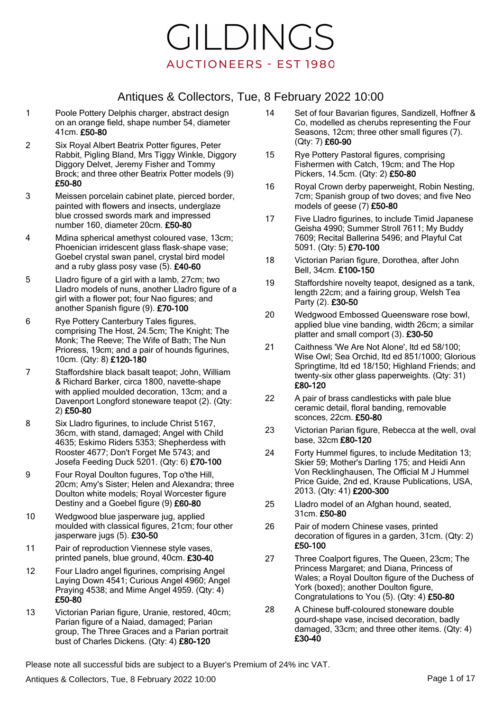### Antiques & Collectors, Tue, 8 February 2022 10:00

- 1 Poole Pottery Delphis charger, abstract design on an orange field, shape number 54, diameter 41cm. £50-80
- 2 Six Royal Albert Beatrix Potter figures, Peter Rabbit, Pigling Bland, Mrs Tiggy Winkle, Diggory Diggory Delvet, Jeremy Fisher and Tommy Brock; and three other Beatrix Potter models (9) £50-80
- 3 Meissen porcelain cabinet plate, pierced border, painted with flowers and insects, underglaze blue crossed swords mark and impressed number 160, diameter 20cm. £50-80
- 4 Mdina spherical amethyst coloured vase, 13cm; Phoenician irridescent glass flask-shape vase; Goebel crystal swan panel, crystal bird model and a ruby glass posy vase (5). £40-60
- 5 Lladro figure of a girl with a lamb, 27cm; two Lladro models of nuns, another Lladro figure of a girl with a flower pot; four Nao figures; and another Spanish figure (9). £70-100
- 6 Rye Pottery Canterbury Tales figures, comprising The Host, 24.5cm; The Knight; The Monk; The Reeve; The Wife of Bath; The Nun Prioress, 19cm; and a pair of hounds figurines, 10cm. (Qty: 8) £120-180
- 7 Staffordshire black basalt teapot; John, William & Richard Barker, circa 1800, navette-shape with applied moulded decoration, 13cm; and a Davenport Longford stoneware teapot (2). (Qty: 2) £50-80
- 8 Six Lladro figurines, to include Christ 5167, 36cm, with stand, damaged; Angel with Child 4635; Eskimo Riders 5353; Shepherdess with Rooster 4677; Don't Forget Me 5743; and Josefa Feeding Duck 5201. (Qty: 6) £70-100
- 9 Four Royal Doulton fugures, Top o'the Hill, 20cm; Amy's Sister; Helen and Alexandra; three Doulton white models; Royal Worcester figure Destiny and a Goebel figure (9) £60-80
- 10 Wedgwood blue jasperware jug, applied moulded with classical figures, 21cm; four other jasperware jugs (5). £30-50
- 11 Pair of reproduction Viennese style vases, printed panels, blue ground, 40cm. £30-40
- 12 Four Lladro angel figurines, comprising Angel Laying Down 4541; Curious Angel 4960; Angel Praying 4538; and Mime Angel 4959. (Qty: 4) £50-80
- 13 Victorian Parian figure, Uranie, restored, 40cm; Parian figure of a Naiad, damaged; Parian group, The Three Graces and a Parian portrait bust of Charles Dickens. (Qty: 4) £80-120
- 14 Set of four Bavarian figures, Sandizell, Hoffner & Co, modelled as cherubs representing the Four Seasons, 12cm; three other small figures (7). (Qty: 7) £60-90
- 15 Rye Pottery Pastoral figures, comprising Fishermen with Catch, 19cm; and The Hop Pickers, 14.5cm. (Qty: 2) £50-80
- 16 Royal Crown derby paperweight, Robin Nesting, 7cm; Spanish group of two doves; and five Neo models of geese (7) £50-80
- 17 Five Lladro figurines, to include Timid Japanese Geisha 4990; Summer Stroll 7611; My Buddy 7609; Recital Ballerina 5496; and Playful Cat 5091. (Qty: 5) £70-100
- 18 Victorian Parian figure, Dorothea, after John Bell, 34cm. £100-150
- 19 Staffordshire novelty teapot, designed as a tank, length 22cm; and a fairing group, Welsh Tea Party (2). £30-50
- 20 Wedgwood Embossed Queensware rose bowl, applied blue vine banding, width 26cm; a similar platter and small comport (3). £30-50
- 21 Caithness 'We Are Not Alone', ltd ed 58/100; Wise Owl; Sea Orchid, ltd ed 851/1000; Glorious Springtime, Itd ed 18/150; Highland Friends; and twenty-six other glass paperweights. (Qty: 31) £80-120
- 22 A pair of brass candlesticks with pale blue ceramic detail, floral banding, removable sconces, 22cm. £50-80
- 23 Victorian Parian figure, Rebecca at the well, oval base, 32cm £80-120
- 24 Forty Hummel figures, to include Meditation 13; Skier 59; Mother's Darling 175; and Heidi Ann Von Recklinghausen, The Official M J Hummel Price Guide, 2nd ed, Krause Publications, USA, 2013. (Qty: 41) £200-300
- 25 Lladro model of an Afghan hound, seated, 31cm. £50-80
- 26 Pair of modern Chinese vases, printed decoration of figures in a garden, 31cm. (Qty: 2) £50-100
- 27 Three Coalport figures, The Queen, 23cm; The Princess Margaret; and Diana, Princess of Wales; a Royal Doulton figure of the Duchess of York (boxed); another Doulton figure, Congratulations to You (5). (Qty: 4) £50-80
- 28 A Chinese buff-coloured stoneware double gourd-shape vase, incised decoration, badly damaged, 33cm; and three other items. (Qty: 4) £30-40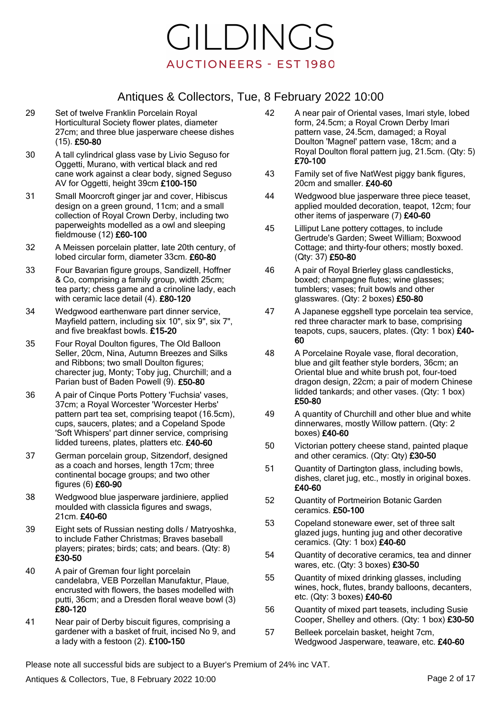### Antiques & Collectors, Tue, 8 February 2022 10:00

- 29 Set of twelve Franklin Porcelain Royal Horticultural Society flower plates, diameter 27cm; and three blue jasperware cheese dishes (15). £50-80
- 30 A tall cylindrical glass vase by Livio Seguso for Oggetti, Murano, with vertical black and red cane work against a clear body, signed Seguso AV for Oggetti, height 39cm £100-150
- 31 Small Moorcroft ginger jar and cover, Hibiscus design on a green ground, 11cm; and a small collection of Royal Crown Derby, including two paperweights modelled as a owl and sleeping fieldmouse (12) £60-100
- 32 A Meissen porcelain platter, late 20th century, of lobed circular form, diameter 33cm. £60-80
- 33 Four Bavarian figure groups, Sandizell, Hoffner & Co, comprising a family group, width 25cm; tea party; chess game and a crinoline lady, each with ceramic lace detail (4). £80-120
- 34 Wedgwood earthenware part dinner service, Mayfield pattern, including six 10", six 9", six 7", and five breakfast bowls. £15-20
- 35 Four Royal Doulton figures, The Old Balloon Seller, 20cm, Nina, Autumn Breezes and Silks and Ribbons; two small Doulton figures; charecter jug, Monty; Toby jug, Churchill; and a Parian bust of Baden Powell (9). £50-80
- 36 A pair of Cinque Ports Pottery 'Fuchsia' vases, 37cm; a Royal Worcester 'Worcester Herbs' pattern part tea set, comprising teapot (16.5cm), cups, saucers, plates; and a Copeland Spode 'Soft Whispers' part dinner service, comprising lidded tureens, plates, platters etc. £40-60
- 37 German porcelain group, Sitzendorf, designed as a coach and horses, length 17cm; three continental bocage groups; and two other figures (6) £60-90
- 38 Wedgwood blue jasperware jardiniere, applied moulded with classicla figures and swags, 21cm. £40-60
- 39 Eight sets of Russian nesting dolls / Matryoshka, to include Father Christmas; Braves baseball players; pirates; birds; cats; and bears. (Qty: 8) £30-50
- 40 A pair of Greman four light porcelain candelabra, VEB Porzellan Manufaktur, Plaue, encrusted with flowers, the bases modelled with putti, 36cm; and a Dresden floral weave bowl (3) £80-120
- 41 Near pair of Derby biscuit figures, comprising a gardener with a basket of fruit, incised No 9, and a lady with a festoon (2). £100-150
- 42 A near pair of Oriental vases, Imari style, lobed form, 24.5cm; a Royal Crown Derby Imari pattern vase, 24.5cm, damaged; a Royal Doulton 'Magnel' pattern vase, 18cm; and a Royal Doulton floral pattern jug, 21.5cm. (Qty: 5) £70-100
- 43 Family set of five NatWest piggy bank figures, 20cm and smaller. £40-60
- 44 Wedgwood blue jasperware three piece teaset, applied moulded decoration, teapot, 12cm; four other items of jasperware (7) £40-60
- 45 Lilliput Lane pottery cottages, to include Gertrude's Garden; Sweet William; Boxwood Cottage; and thirty-four others; mostly boxed. (Qty: 37) £50-80
- 46 A pair of Royal Brierley glass candlesticks, boxed; champagne flutes; wine glasses; tumblers; vases; fruit bowls and other glasswares. (Qty: 2 boxes) £50-80
- 47 A Japanese eggshell type porcelain tea service, red three character mark to base, comprising teapots, cups, saucers, plates. (Qty: 1 box) £40- 60
- 48 A Porcelaine Royale vase, floral decoration, blue and gilt feather style borders, 36cm; an Oriental blue and white brush pot, four-toed dragon design, 22cm; a pair of modern Chinese lidded tankards; and other vases. (Qty: 1 box) £50-80
- 49 A quantity of Churchill and other blue and white dinnerwares, mostly Willow pattern. (Qty: 2 boxes) £40-60
- 50 Victorian pottery cheese stand, painted plaque and other ceramics. (Qtv: Qtv) £30-50
- 51 Quantity of Dartington glass, including bowls, dishes, claret jug, etc., mostly in original boxes. £40-60
- 52 Quantity of Portmeirion Botanic Garden ceramics. £50-100
- 53 Copeland stoneware ewer, set of three salt glazed jugs, hunting jug and other decorative ceramics. (Qty: 1 box) £40-60
- 54 Quantity of decorative ceramics, tea and dinner wares, etc. (Qty: 3 boxes) £30-50
- 55 Quantity of mixed drinking glasses, including wines, hock, flutes, brandy balloons, decanters, etc. (Qty: 3 boxes) £40-60
- 56 Quantity of mixed part teasets, including Susie Cooper, Shelley and others. (Qty: 1 box) £30-50
- 57 Belleek porcelain basket, height 7cm, Wedgwood Jasperware, teaware, etc. £40-60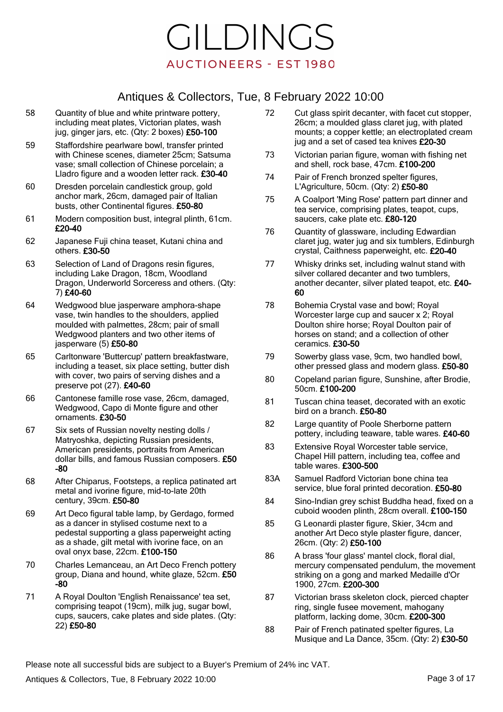# Antiques & Collectors, Tue, 8 February 2022 10:00

- 58 Quantity of blue and white printware pottery, including meat plates, Victorian plates, wash jug, ginger jars, etc. (Qty: 2 boxes) £50-100
- 59 Staffordshire pearlware bowl, transfer printed with Chinese scenes, diameter 25cm; Satsuma vase; small collection of Chinese porcelain; a Lladro figure and a wooden letter rack. £30-40
- 60 Dresden porcelain candlestick group, gold anchor mark, 26cm, damaged pair of Italian busts, other Continental figures. £50-80
- 61 Modern composition bust, integral plinth, 61cm. £20-40
- 62 Japanese Fuji china teaset, Kutani china and others. £30-50
- 63 Selection of Land of Dragons resin figures, including Lake Dragon, 18cm, Woodland Dragon, Underworld Sorceress and others. (Qty: 7) £40-60
- 64 Wedgwood blue jasperware amphora-shape vase, twin handles to the shoulders, applied moulded with palmettes, 28cm; pair of small Wedgwood planters and two other items of jasperware (5) £50-80
- 65 Carltonware 'Buttercup' pattern breakfastware, including a teaset, six place setting, butter dish with cover, two pairs of serving dishes and a preserve pot  $(27)$ . £40-60
- 66 Cantonese famille rose vase, 26cm, damaged, Wedgwood, Capo di Monte figure and other ornaments. £30-50
- 67 Six sets of Russian novelty nesting dolls / Matryoshka, depicting Russian presidents, American presidents, portraits from American dollar bills, and famous Russian composers. £50 -80
- 68 After Chiparus, Footsteps, a replica patinated art metal and ivorine figure, mid-to-late 20th century, 39cm. £50-80
- 69 Art Deco figural table lamp, by Gerdago, formed as a dancer in stylised costume next to a pedestal supporting a glass paperweight acting as a shade, gilt metal with ivorine face, on an oval onyx base, 22cm. £100-150
- 70 Charles Lemanceau, an Art Deco French pottery group, Diana and hound, white glaze, 52cm. £50 -80
- 71 A Royal Doulton 'English Renaissance' tea set, comprising teapot (19cm), milk jug, sugar bowl, cups, saucers, cake plates and side plates. (Qty: 22) £50-80
- 72 Cut glass spirit decanter, with facet cut stopper, 26cm; a moulded glass claret jug, with plated mounts; a copper kettle; an electroplated cream jug and a set of cased tea knives £20-30
- 73 Victorian parian figure, woman with fishing net and shell, rock base, 47cm. £100-200
- 74 Pair of French bronzed spelter figures, L'Agriculture, 50cm. (Qty: 2) £50-80
- 75 A Coalport 'Ming Rose' pattern part dinner and tea service, comprising plates, teapot, cups, saucers, cake plate etc. £80-120
- 76 Quantity of glassware, including Edwardian claret jug, water jug and six tumblers, Edinburgh crystal, Caithness paperweight, etc. £20-40
- 77 Whisky drinks set, including walnut stand with silver collared decanter and two tumblers, another decanter, silver plated teapot, etc. £40- 60
- 78 Bohemia Crystal vase and bowl; Royal Worcester large cup and saucer x 2; Royal Doulton shire horse; Royal Doulton pair of horses on stand; and a collection of other ceramics. £30-50
- 79 Sowerby glass vase, 9cm, two handled bowl, other pressed glass and modern glass. £50-80
- 80 Copeland parian figure, Sunshine, after Brodie, 50cm. £100-200
- 81 Tuscan china teaset, decorated with an exotic bird on a branch. £50-80
- 82 Large quantity of Poole Sherborne pattern pottery, including teaware, table wares. £40-60
- 83 Extensive Royal Worcester table service, Chapel Hill pattern, including tea, coffee and table wares. £300-500
- 83A Samuel Radford Victorian bone china tea service, blue foral printed decoration. £50-80
- 84 Sino-Indian grey schist Buddha head, fixed on a cuboid wooden plinth, 28cm overall. £100-150
- 85 G Leonardi plaster figure, Skier, 34cm and another Art Deco style plaster figure, dancer, 26cm. (Qty: 2) £50-100
- 86 A brass 'four glass' mantel clock, floral dial, mercury compensated pendulum, the movement striking on a gong and marked Medaille d'Or 1900, 27cm. £200-300
- 87 Victorian brass skeleton clock, pierced chapter ring, single fusee movement, mahogany platform, lacking dome, 30cm. £200-300
- 88 Pair of French patinated spelter figures, La Musique and La Dance, 35cm. (Qty: 2) £30-50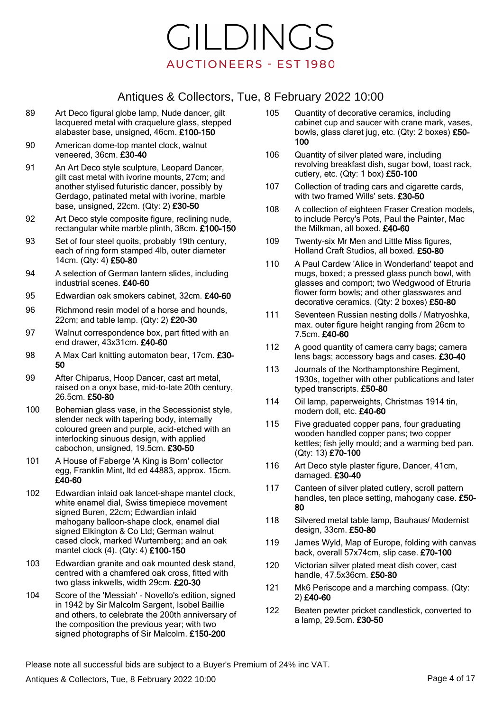#### Antiques & Collectors, Tue, 8 February 2022 10:00

- 89 Art Deco figural globe lamp, Nude dancer, gilt lacquered metal with craquelure glass, stepped alabaster base, unsigned, 46cm. £100-150
- 90 American dome-top mantel clock, walnut veneered, 36cm. £30-40
- 91 An Art Deco style sculpture, Leopard Dancer, gilt cast metal with ivorine mounts, 27cm; and another stylised futuristic dancer, possibly by Gerdago, patinated metal with ivorine, marble base, unsigned, 22cm. (Qty: 2) £30-50
- 92 Art Deco style composite figure, reclining nude, rectangular white marble plinth, 38cm. £100-150
- 93 Set of four steel quoits, probably 19th century, each of ring form stamped 4lb, outer diameter 14cm. (Qty: 4) £50-80
- 94 A selection of German lantern slides, including industrial scenes. £40-60
- 95 Edwardian oak smokers cabinet, 32cm. £40-60
- 96 Richmond resin model of a horse and hounds, 22cm; and table lamp. (Qty: 2) £20-30
- 97 Walnut correspondence box, part fitted with an end drawer, 43x31cm. £40-60
- 98 A Max Carl knitting automaton bear, 17cm. £30-50
- 99 After Chiparus, Hoop Dancer, cast art metal, raised on a onyx base, mid-to-late 20th century, 26.5cm. £50-80
- 100 Bohemian glass vase, in the Secessionist style, slender neck with tapering body, internally coloured green and purple, acid-etched with an interlocking sinuous design, with applied cabochon, unsigned, 19.5cm. £30-50
- 101 A House of Faberge 'A King is Born' collector egg, Franklin Mint, ltd ed 44883, approx. 15cm. £40-60
- 102 Edwardian inlaid oak lancet-shape mantel clock, white enamel dial, Swiss timepiece movement signed Buren, 22cm; Edwardian inlaid mahogany balloon-shape clock, enamel dial signed Elkington & Co Ltd; German walnut cased clock, marked Wurtemberg; and an oak mantel clock (4). (Qty: 4) £100-150
- 103 Edwardian granite and oak mounted desk stand, centred with a chamfered oak cross, fitted with two glass inkwells, width 29cm. £20-30
- 104 Score of the 'Messiah' Novello's edition, signed in 1942 by Sir Malcolm Sargent, Isobel Baillie and others, to celebrate the 200th anniversary of the composition the previous year; with two signed photographs of Sir Malcolm. £150-200
- 105 Quantity of decorative ceramics, including cabinet cup and saucer with crane mark, vases, bowls, glass claret jug, etc. (Qty: 2 boxes) £50- 100
- 106 Quantity of silver plated ware, including revolving breakfast dish, sugar bowl, toast rack, cutlery, etc. (Qty: 1 box) £50-100
- 107 Collection of trading cars and cigarette cards, with two framed Wills' sets. £30-50
- 108 A collection of eighteen Fraser Creation models, to include Percy's Pots, Paul the Painter, Mac the Milkman, all boxed. £40-60
- 109 Twenty-six Mr Men and Little Miss figures, Holland Craft Studios, all boxed. £50-80
- 110 A Paul Cardew 'Alice in Wonderland' teapot and mugs, boxed; a pressed glass punch bowl, with glasses and comport; two Wedgwood of Etruria flower form bowls; and other glasswares and decorative ceramics. (Qty: 2 boxes) £50-80
- 111 Seventeen Russian nesting dolls / Matryoshka, max. outer figure height ranging from 26cm to 7.5cm. £40-60
- 112 A good quantity of camera carry bags; camera lens bags; accessory bags and cases. £30-40
- 113 Journals of the Northamptonshire Regiment, 1930s, together with other publications and later typed transcripts. £50-80
- 114 Oil lamp, paperweights, Christmas 1914 tin, modern doll, etc. £40-60
- 115 Five graduated copper pans, four graduating wooden handled copper pans; two copper kettles; fish jelly mould; and a warming bed pan. (Qty: 13) £70-100
- 116 Art Deco style plaster figure, Dancer, 41cm, damaged. £30-40
- 117 Canteen of silver plated cutlery, scroll pattern handles, ten place setting, mahogany case. £50- 80
- 118 Silvered metal table lamp, Bauhaus/ Modernist design, 33cm. £50-80
- 119 James Wyld, Map of Europe, folding with canvas back, overall 57x74cm, slip case. £70-100
- 120 Victorian silver plated meat dish cover, cast handle, 47.5x36cm. £50-80
- 121 Mk6 Periscope and a marching compass. (Qty: 2) £40-60
- 122 Beaten pewter pricket candlestick, converted to a lamp, 29.5cm. £30-50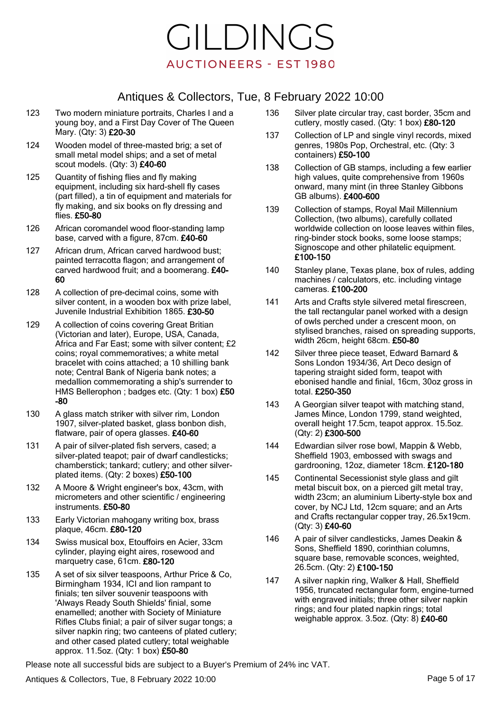### Antiques & Collectors, Tue, 8 February 2022 10:00

- 123 Two modern miniature portraits, Charles I and a young boy, and a First Day Cover of The Queen Mary. (Qty: 3) £20-30
- 124 Wooden model of three-masted brig; a set of small metal model ships; and a set of metal scout models. (Qty: 3) £40-60
- 125 Quantity of fishing flies and fly making equipment, including six hard-shell fly cases (part filled), a tin of equipment and materials for fly making, and six books on fly dressing and flies. £50-80
- 126 African coromandel wood floor-standing lamp base, carved with a figure, 87cm. £40-60
- 127 African drum, African carved hardwood bust; painted terracotta flagon; and arrangement of carved hardwood fruit; and a boomerang. £40- 60
- 128 A collection of pre-decimal coins, some with silver content, in a wooden box with prize label. Juvenile Industrial Exhibition 1865. £30-50
- 129 A collection of coins covering Great Britian (Victorian and later), Europe, USA, Canada, Africa and Far East; some with silver content; £2 coins; royal commemoratives; a white metal bracelet with coins attached; a 10 shilling bank note; Central Bank of Nigeria bank notes; a medallion commemorating a ship's surrender to HMS Bellerophon ; badges etc. (Qty: 1 box) £50 -80
- 130 A glass match striker with silver rim, London 1907, silver-plated basket, glass bonbon dish, flatware, pair of opera glasses. £40-60
- 131 A pair of silver-plated fish servers, cased; a silver-plated teapot; pair of dwarf candlesticks; chamberstick; tankard; cutlery; and other silverplated items. (Qty: 2 boxes) £50-100
- 132 A Moore & Wright engineer's box, 43cm, with micrometers and other scientific / engineering instruments. £50-80
- 133 Early Victorian mahogany writing box, brass plaque, 46cm. £80-120
- 134 Swiss musical box, Etouffoirs en Acier, 33cm cylinder, playing eight aires, rosewood and marquetry case, 61cm. £80-120
- 135 A set of six silver teaspoons, Arthur Price & Co, Birmingham 1934, ICI and lion rampant to finials; ten silver souvenir teaspoons with 'Always Ready South Shields' finial, some enamelled; another with Society of Miniature Rifles Clubs finial; a pair of silver sugar tongs; a silver napkin ring; two canteens of plated cutlery; and other cased plated cutlery; total weighable approx. 11.5oz. (Qty: 1 box) £50-80
- 136 Silver plate circular tray, cast border, 35cm and cutlery, mostly cased. (Qty: 1 box) £80-120
- 137 Collection of LP and single vinyl records, mixed genres, 1980s Pop, Orchestral, etc. (Qty: 3 containers) £50-100
- 138 Collection of GB stamps, including a few earlier high values, quite comprehensive from 1960s onward, many mint (in three Stanley Gibbons GB albums). £400-600
- 139 Collection of stamps, Royal Mail Millennium Collection, (two albums), carefully collated worldwide collection on loose leaves within files, ring-binder stock books, some loose stamps; Signoscope and other philatelic equipment. £100-150
- 140 Stanley plane, Texas plane, box of rules, adding machines / calculators, etc. including vintage cameras. £100-200
- 141 Arts and Crafts style silvered metal firescreen, the tall rectangular panel worked with a design of owls perched under a crescent moon, on stylised branches, raised on spreading supports, width 26cm, height 68cm. £50-80
- 142 Silver three piece teaset, Edward Barnard & Sons London 1934/36, Art Deco design of tapering straight sided form, teapot with ebonised handle and finial, 16cm, 30oz gross in total. £250-350
- 143 A Georgian silver teapot with matching stand, James Mince, London 1799, stand weighted, overall height 17.5cm, teapot approx. 15.5oz. (Qty: 2) £300-500
- 144 Edwardian silver rose bowl, Mappin & Webb, Sheffield 1903, embossed with swags and gardrooning, 12oz, diameter 18cm. £120-180
- 145 Continental Secessionist style glass and gilt metal biscuit box, on a pierced gilt metal tray, width 23cm; an aluminium Liberty-style box and cover, by NCJ Ltd, 12cm square; and an Arts and Crafts rectangular copper tray, 26.5x19cm. (Qty: 3) £40-60
- 146 A pair of silver candlesticks, James Deakin & Sons, Sheffield 1890, corinthian columns, square base, removable sconces, weighted, 26.5cm. (Qty: 2) £100-150
- 147 A silver napkin ring, Walker & Hall, Sheffield 1956, truncated rectangular form, engine-turned with engraved initials; three other silver napkin rings; and four plated napkin rings; total weighable approx. 3.5oz. (Qty: 8) £40-60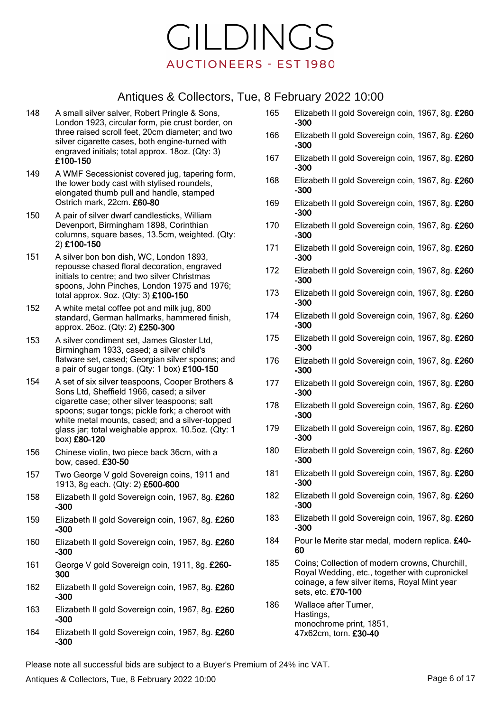# Antiques & Collectors, Tue, 8 February 2022 10:00

- 148 A small silver salver, Robert Pringle & Sons, London 1923, circular form, pie crust border, on three raised scroll feet, 20cm diameter; and two silver cigarette cases, both engine-turned with engraved initials; total approx. 18oz. (Qty: 3) £100-150
- 149 A WMF Secessionist covered jug, tapering form, the lower body cast with stylised roundels, elongated thumb pull and handle, stamped Ostrich mark, 22cm. £60-80
- 150 A pair of silver dwarf candlesticks, William Devenport, Birmingham 1898, Corinthian columns, square bases, 13.5cm, weighted. (Qty: 2) £100-150
- 151 A silver bon bon dish, WC, London 1893, repousse chased floral decoration, engraved initials to centre; and two silver Christmas spoons, John Pinches, London 1975 and 1976; total approx. 9oz. (Qty: 3) £100-150
- 152 A white metal coffee pot and milk jug, 800 standard, German hallmarks, hammered finish, approx. 26oz. (Qty: 2) £250-300
- 153 A silver condiment set, James Gloster Ltd, Birmingham 1933, cased; a silver child's flatware set, cased; Georgian silver spoons; and a pair of sugar tongs. (Qty: 1 box) £100-150
- 154 A set of six silver teaspoons, Cooper Brothers & Sons Ltd, Sheffield 1966, cased; a silver cigarette case; other silver teaspoons; salt spoons; sugar tongs; pickle fork; a cheroot with white metal mounts, cased; and a silver-topped glass jar; total weighable approx. 10.5oz. (Qty: 1 box) £80-120
- 156 Chinese violin, two piece back 36cm, with a bow, cased. £30-50
- 157 Two George V gold Sovereign coins, 1911 and 1913, 8g each. (Qty: 2) £500-600
- 158 Elizabeth II gold Sovereign coin, 1967, 8g. £260 -300
- 159 Elizabeth II gold Sovereign coin, 1967, 8g. £260 -300
- 160 Elizabeth II gold Sovereign coin, 1967, 8g. £260 -300
- 161 George V gold Sovereign coin, 1911, 8g, £260-300
- 162 Elizabeth II gold Sovereign coin, 1967, 8g. £260 -300
- 163 Elizabeth II gold Sovereign coin, 1967, 8g. £260 -300
- 164 Elizabeth II gold Sovereign coin, 1967, 8g. £260 -300
- 165 Elizabeth II gold Sovereign coin, 1967, 8g. £260 -300
- 166 Elizabeth II gold Sovereign coin, 1967, 8g. £260 -300
- 167 Elizabeth II gold Sovereign coin, 1967, 8g. £260 -300
- 168 Elizabeth II gold Sovereign coin, 1967, 8g. £260 -300
- 169 Elizabeth II gold Sovereign coin, 1967, 8g. £260 -300
- 170 Elizabeth II gold Sovereign coin, 1967, 8g. £260 -300
- 171 Elizabeth II gold Sovereign coin, 1967, 8g. £260 -300
- 172 Elizabeth II gold Sovereign coin, 1967, 8g. £260 -300
- 173 Elizabeth II gold Sovereign coin, 1967, 8g. £260 -300
- 174 Elizabeth II gold Sovereign coin, 1967, 8g. £260 -300
- 175 Elizabeth II gold Sovereign coin, 1967, 8g. £260 -300
- 176 Elizabeth II gold Sovereign coin, 1967, 8g. £260 -300
- 177 Elizabeth II gold Sovereign coin, 1967, 8g. £260 -300
- 178 Elizabeth II gold Sovereign coin, 1967, 8g. £260 -300
- 179 Elizabeth II gold Sovereign coin, 1967, 8g. £260 -300
- 180 Elizabeth II gold Sovereign coin, 1967, 8g. £260 -300
- 181 Elizabeth II gold Sovereign coin, 1967, 8g. £260 -300
- 182 Elizabeth II gold Sovereign coin, 1967, 8g, £260 -300
- 183 Elizabeth II gold Sovereign coin, 1967, 8g. £260 -300
- 184 Pour le Merite star medal, modern replica. £40-60
- 185 Coins; Collection of modern crowns, Churchill, Royal Wedding, etc., together with cupronickel coinage, a few silver items, Royal Mint year sets, etc. £70-100
- 186 Wallace after Turner, Hastings, monochrome print, 1851, 47x62cm, torn. £30-40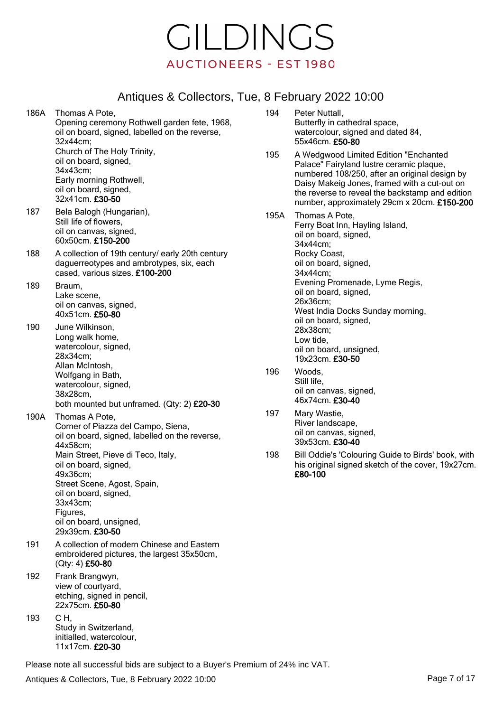#### Antiques & Collectors, Tue, 8 February 2022 10:00

186A Thomas A Pote, Opening ceremony Rothwell garden fete, 1968, oil on board, signed, labelled on the reverse, 32x44cm; Church of The Holy Trinity, oil on board, signed, 34x43cm; Early morning Rothwell, oil on board, signed, 32x41cm. £30-50

- 187 Bela Balogh (Hungarian), Still life of flowers, oil on canvas, signed, 60x50cm. £150-200
- 188 A collection of 19th century/ early 20th century daguerreotypes and ambrotypes, six, each cased, various sizes. £100-200

189 Braum, Lake scene, oil on canvas, signed, 40x51cm. £50-80

190 June Wilkinson, Long walk home, watercolour, signed, 28x34cm; Allan McIntosh, Wolfgang in Bath, watercolour, signed, 38x28cm, both mounted but unframed. (Qty: 2) £20-30

190A Thomas A Pote, Corner of Piazza del Campo, Siena, oil on board, signed, labelled on the reverse, 44x58cm; Main Street, Pieve di Teco, Italy, oil on board, signed, 49x36cm; Street Scene, Agost, Spain, oil on board, signed, 33x43cm; Figures, oil on board, unsigned, 29x39cm. £30-50

- 191 A collection of modern Chinese and Eastern embroidered pictures, the largest 35x50cm, (Qty: 4) £50-80
- 192 Frank Brangwyn, view of courtyard, etching, signed in pencil, 22x75cm. £50-80
- 193 C H, Study in Switzerland, initialled, watercolour, 11x17cm. £20-30

194 Peter Nuttall, Butterfly in cathedral space, watercolour, signed and dated 84, 55x46cm. £50-80

- 195 A Wedgwood Limited Edition "Enchanted Palace" Fairyland lustre ceramic plaque, numbered 108/250, after an original design by Daisy Makeig Jones, framed with a cut-out on the reverse to reveal the backstamp and edition number, approximately 29cm x 20cm. £150-200
- 195A Thomas A Pote, Ferry Boat Inn, Hayling Island, oil on board, signed, 34x44cm; Rocky Coast, oil on board, signed, 34x44cm; Evening Promenade, Lyme Regis, oil on board, signed, 26x36cm; West India Docks Sunday morning. oil on board, signed, 28x38cm; Low tide, oil on board, unsigned, 19x23cm. £30-50
- 196 Woods, Still life, oil on canvas, signed, 46x74cm. £30-40
- 197 Mary Wastie, River landscape, oil on canvas, signed, 39x53cm. £30-40
- 198 Bill Oddie's 'Colouring Guide to Birds' book, with his original signed sketch of the cover, 19x27cm. £80-100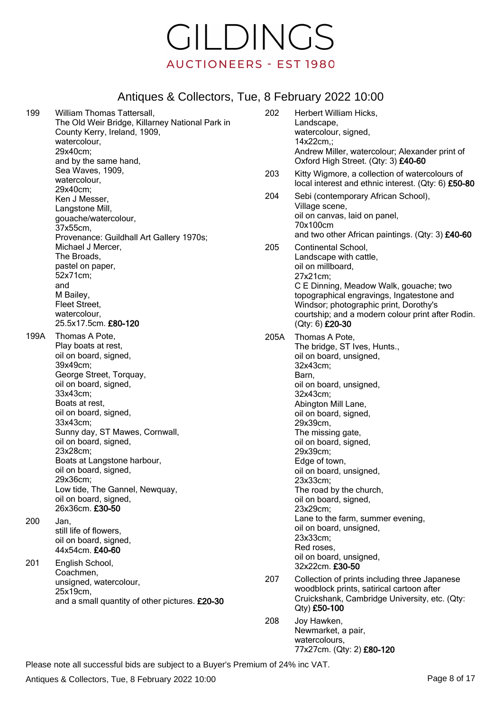#### Antiques & Collectors, Tue, 8 February 2022 10:00

| 199  | William Thomas Tattersall,<br>The Old Weir Bridge, Killarney National Park in<br>County Kerry, Ireland, 1909,<br>watercolour,<br>29x40cm;<br>and by the same hand,                                                                                                                                                                                                                                                         | 202  | Herbert William Hicks,<br>Landscape,<br>watercolour, signed,<br>$14x22cm$ ;<br>Andrew Miller, watercolour; Alexander print of<br>Oxford High Street. (Qty: 3) £40-60                                                                                                                                                                                                                |
|------|----------------------------------------------------------------------------------------------------------------------------------------------------------------------------------------------------------------------------------------------------------------------------------------------------------------------------------------------------------------------------------------------------------------------------|------|-------------------------------------------------------------------------------------------------------------------------------------------------------------------------------------------------------------------------------------------------------------------------------------------------------------------------------------------------------------------------------------|
|      | Sea Waves, 1909,<br>watercolour,<br>29x40cm;                                                                                                                                                                                                                                                                                                                                                                               | 203  | Kitty Wigmore, a collection of watercolours of<br>local interest and ethnic interest. (Qty: 6) £50-80                                                                                                                                                                                                                                                                               |
|      | Ken J Messer,<br>Langstone Mill,<br>gouache/watercolour,<br>37x55cm,<br>Provenance: Guildhall Art Gallery 1970s;                                                                                                                                                                                                                                                                                                           | 204  | Sebi (contemporary African School),<br>Village scene,<br>oil on canvas, laid on panel,<br>70x100cm<br>and two other African paintings. (Qty: 3) £40-60                                                                                                                                                                                                                              |
|      | Michael J Mercer,<br>The Broads,<br>pastel on paper,<br>52x71cm;<br>and<br>M Bailey,<br>Fleet Street,<br>watercolour,<br>25.5x17.5cm. £80-120                                                                                                                                                                                                                                                                              | 205  | Continental School,<br>Landscape with cattle,<br>oil on millboard,<br>27x21cm;<br>C E Dinning, Meadow Walk, gouache; two<br>topographical engravings, Ingatestone and<br>Windsor; photographic print, Dorothy's<br>courtship; and a modern colour print after Rodin.<br>(Qty: 6) £20-30                                                                                             |
| 199A | Thomas A Pote,<br>Play boats at rest,<br>oil on board, signed,<br>39x49cm;<br>George Street, Torquay,<br>oil on board, signed,<br>33x43cm;<br>Boats at rest,<br>oil on board, signed,<br>33x43cm;<br>Sunny day, ST Mawes, Cornwall,<br>oil on board, signed,<br>23x28cm;<br>Boats at Langstone harbour,<br>oil on board, signed,<br>29x36cm;<br>Low tide, The Gannel, Newquay,<br>oil on board, signed,<br>26x36cm. £30-50 | 205A | Thomas A Pote,<br>The bridge, ST Ives, Hunts.,<br>oil on board, unsigned,<br>32x43cm;<br>Barn,<br>oil on board, unsigned,<br>32x43cm;<br>Abington Mill Lane,<br>oil on board, signed,<br>29x39cm,<br>The missing gate,<br>oil on board, signed,<br>29x39cm;<br>Edge of town,<br>oil on board, unsigned,<br>23x33cm;<br>The road by the church,<br>oil on board, signed,<br>23x29cm; |
| 200  | Jan,<br>still life of flowers,<br>oil on board, signed,<br>44x54cm. £40-60                                                                                                                                                                                                                                                                                                                                                 |      | Lane to the farm, summer evening,<br>oil on board, unsigned,<br>23x33cm;<br>Red roses,<br>oil on board, unsigned,                                                                                                                                                                                                                                                                   |
| 201  | English School,<br>Coachmen,<br>unsigned, watercolour,<br>25x19cm,<br>and a small quantity of other pictures. £20-30                                                                                                                                                                                                                                                                                                       | 207  | 32x22cm. £30-50<br>Collection of prints including three Japanese                                                                                                                                                                                                                                                                                                                    |
|      |                                                                                                                                                                                                                                                                                                                                                                                                                            |      | woodblock prints, satirical cartoon after<br>Cruickshank, Cambridge University, etc. (Qty:<br>Qty) £50-100                                                                                                                                                                                                                                                                          |
|      |                                                                                                                                                                                                                                                                                                                                                                                                                            | 208  | Joy Hawken,<br>Newmarket, a pair,<br>watercolours,                                                                                                                                                                                                                                                                                                                                  |

77x27cm. (Qty: 2) £80-120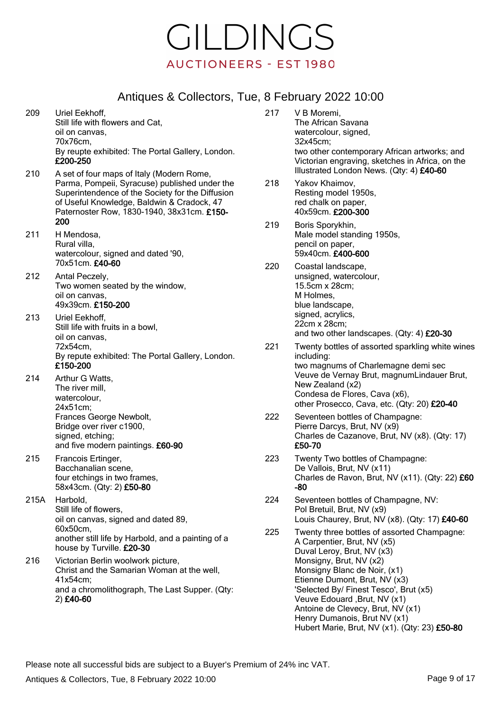#### Antiques & Collectors, Tue, 8 February 2022 10:00

| 209  | Uriel Eekhoff,<br>Still life with flowers and Cat,<br>oil on canvas,<br>70x76cm,<br>By reupte exhibited: The Portal Gallery, London.<br>£200-250                                                                                                                                                                                        | 217 | V B Moremi,<br>The African Savana<br>watercolour, signed,<br>32x45cm;<br>two other contemporary African artworks; and<br>Victorian engraving, sketches in Africa, on the                                                                                                                                                                                                                             |
|------|-----------------------------------------------------------------------------------------------------------------------------------------------------------------------------------------------------------------------------------------------------------------------------------------------------------------------------------------|-----|------------------------------------------------------------------------------------------------------------------------------------------------------------------------------------------------------------------------------------------------------------------------------------------------------------------------------------------------------------------------------------------------------|
| 210  | A set of four maps of Italy (Modern Rome,<br>Parma, Pompeii, Syracuse) published under the<br>Superintendence of the Society for the Diffusion<br>of Useful Knowledge, Baldwin & Cradock, 47<br>Paternoster Row, 1830-1940, 38x31cm. £150-                                                                                              | 218 | Illustrated London News. (Qty: 4) £40-60<br>Yakov Khaimov,<br>Resting model 1950s,<br>red chalk on paper,<br>40x59cm. £200-300                                                                                                                                                                                                                                                                       |
| 211  | 200<br>H Mendosa,<br>Rural villa,<br>watercolour, signed and dated '90,<br>70x51cm. £40-60                                                                                                                                                                                                                                              | 219 | Boris Sporykhin,<br>Male model standing 1950s,<br>pencil on paper,<br>59x40cm. £400-600                                                                                                                                                                                                                                                                                                              |
| 212  | Antal Peczely,<br>Two women seated by the window,<br>oil on canvas,<br>49x39cm. £150-200                                                                                                                                                                                                                                                | 220 | Coastal landscape,<br>unsigned, watercolour,<br>15.5cm x 28cm;<br>M Holmes,<br>blue landscape,                                                                                                                                                                                                                                                                                                       |
| 213  | Uriel Eekhoff,<br>Still life with fruits in a bowl,<br>oil on canvas,<br>72x54cm,                                                                                                                                                                                                                                                       | 221 | signed, acrylics,<br>22cm x 28cm;<br>and two other landscapes. (Qty: 4) £20-30<br>Twenty bottles of assorted sparkling white wines                                                                                                                                                                                                                                                                   |
| 214  | By repute exhibited: The Portal Gallery, London.<br>£150-200<br>Arthur G Watts,<br>The river mill,<br>watercolour,<br>24x51cm;                                                                                                                                                                                                          |     | including:<br>two magnums of Charlemagne demi sec<br>Veuve de Vernay Brut, magnumLindauer Brut,<br>New Zealand (x2)<br>Condesa de Flores, Cava (x6),<br>other Prosecco, Cava, etc. (Qty: 20) £20-40                                                                                                                                                                                                  |
|      | Frances George Newbolt,<br>Bridge over river c1900,<br>signed, etching;<br>and five modern paintings. £60-90                                                                                                                                                                                                                            | 222 | Seventeen bottles of Champagne:<br>Pierre Darcys, Brut, NV (x9)<br>Charles de Cazanove, Brut, NV (x8). (Qty: 17)<br>£50-70                                                                                                                                                                                                                                                                           |
| 215  | Francois Ertinger,<br>Bacchanalian scene,<br>four etchings in two frames,<br>58x43cm. (Qty: 2) £50-80                                                                                                                                                                                                                                   | 223 | Twenty Two bottles of Champagne:<br>De Vallois, Brut, NV (x11)<br>Charles de Ravon, Brut, NV (x11). (Qty: 22) £60<br>-80                                                                                                                                                                                                                                                                             |
| 215A | Harbold,<br>Still life of flowers,<br>oil on canvas, signed and dated 89,<br>60x50cm,<br>another still life by Harbold, and a painting of a<br>house by Turville. £20-30<br>Victorian Berlin woolwork picture,<br>Christ and the Samarian Woman at the well,<br>41x54cm;<br>and a chromolithograph, The Last Supper. (Qty:<br>2) £40-60 | 224 | Seventeen bottles of Champagne, NV:<br>Pol Bretuil, Brut, NV (x9)<br>Louis Chaurey, Brut, NV (x8). (Qty: 17) £40-60                                                                                                                                                                                                                                                                                  |
|      |                                                                                                                                                                                                                                                                                                                                         | 225 | Twenty three bottles of assorted Champagne:<br>A Carpentier, Brut, NV (x5)<br>Duval Leroy, Brut, NV (x3)<br>Monsigny, Brut, NV (x2)<br>Monsigny Blanc de Noir, (x1)<br>Etienne Dumont, Brut, NV (x3)<br>'Selected By/ Finest Tesco', Brut (x5)<br>Veuve Edouard, Brut, NV (x1)<br>Antoine de Clevecy, Brut, NV (x1)<br>Henry Dumanois, Brut NV (x1)<br>Hubert Marie, Brut, NV (x1). (Qty: 23) £50-80 |
| 216  |                                                                                                                                                                                                                                                                                                                                         |     |                                                                                                                                                                                                                                                                                                                                                                                                      |

Please note all successful bids are subject to a Buyer's Premium of 24% inc VAT.

Antiques & Collectors, Tue, 8 February 2022 10:00 Page 9 of 17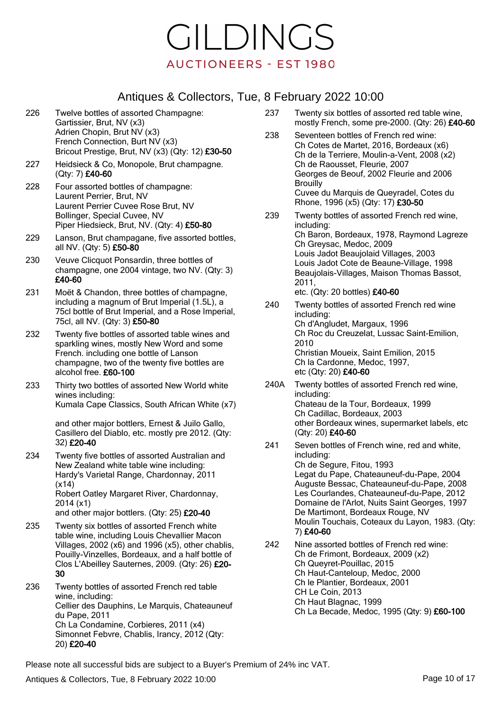### Antiques & Collectors, Tue, 8 February 2022 10:00

- 226 Twelve bottles of assorted Champagne: Gartissier, Brut, NV (x3) Adrien Chopin, Brut NV (x3) French Connection, Burt NV (x3) Bricout Prestige, Brut, NV (x3) (Qty: 12) £30-50
- 227 Heidsieck & Co, Monopole, Brut champagne. (Qty: 7) £40-60
- 228 Four assorted bottles of champagne: Laurent Perrier, Brut, NV Laurent Perrier Cuvee Rose Brut, NV Bollinger, Special Cuvee, NV Piper Hiedsieck, Brut, NV. (Qty: 4) £50-80
- 229 Lanson, Brut champagane, five assorted bottles, all NV. (Qty: 5) £50-80
- 230 Veuve Clicquot Ponsardin, three bottles of champagne, one 2004 vintage, two NV. (Qty: 3) £40-60
- 231 Moët & Chandon, three bottles of champagne, including a magnum of Brut Imperial (1.5L), a 75cl bottle of Brut Imperial, and a Rose Imperial, 75cl, all NV. (Qty: 3) £50-80
- 232 Twenty five bottles of assorted table wines and sparkling wines, mostly New Word and some French. including one bottle of Lanson champagne, two of the twenty five bottles are alcohol free. £60-100
- 233 Thirty two bottles of assorted New World white wines including: Kumala Cape Classics, South African White (x7)

and other major bottlers, Ernest & Juilo Gallo, Casillero del Diablo, etc. mostly pre 2012. (Qty: 32) £20-40

234 Twenty five bottles of assorted Australian and New Zealand white table wine including: Hardy's Varietal Range, Chardonnay, 2011 (x14) Robert Oatley Margaret River, Chardonnay, 2014 (x1)

and other major bottlers. (Qty: 25) £20-40

- 235 Twenty six bottles of assorted French white table wine, including Louis Chevallier Macon Villages, 2002 (x6) and 1996 (x5), other chablis, Pouilly-Vinzelles, Bordeaux, and a half bottle of Clos L'Abeilley Sauternes, 2009. (Qty: 26) £20- 30
- 236 Twenty bottles of assorted French red table wine, including: Cellier des Dauphins, Le Marquis, Chateauneuf du Pape, 2011 Ch La Condamine, Corbieres, 2011 (x4) Simonnet Febvre, Chablis, Irancy, 2012 (Qty: 20) £20-40
- 237 Twenty six bottles of assorted red table wine, mostly French, some pre-2000. (Qty: 26) £40-60
- 238 Seventeen bottles of French red wine: Ch Cotes de Martet, 2016, Bordeaux (x6) Ch de la Terriere, Moulin-a-Vent, 2008 (x2) Ch de Raousset, Fleurie, 2007 Georges de Beouf, 2002 Fleurie and 2006 **Brouilly** Cuvee du Marquis de Queyradel, Cotes du Rhone, 1996 (x5) (Qty: 17) £30-50
- 239 Twenty bottles of assorted French red wine, including: Ch Baron, Bordeaux, 1978, Raymond Lagreze Ch Greysac, Medoc, 2009 Louis Jadot Beaujolaid Villages, 2003 Louis Jadot Cote de Beaune-Village, 1998 Beaujolais-Villages, Maison Thomas Bassot, 2011, etc. (Qty: 20 bottles) £40-60
- 240 Twenty bottles of assorted French red wine including: Ch d'Angludet, Margaux, 1996 Ch Roc du Creuzelat, Lussac Saint-Emilion, 2010 Christian Moueix, Saint Emilion, 2015 Ch la Cardonne, Medoc, 1997, etc (Qty: 20) £40-60
- 240A Twenty bottles of assorted French red wine, including: Chateau de la Tour, Bordeaux, 1999 Ch Cadillac, Bordeaux, 2003 other Bordeaux wines, supermarket labels, etc (Qty: 20) £40-60
- 241 Seven bottles of French wine, red and white, including: Ch de Segure, Fitou, 1993 Legat du Pape, Chateauneuf-du-Pape, 2004 Auguste Bessac, Chateauneuf-du-Pape, 2008 Les Courlandes, Chateauneuf-du-Pape, 2012 Domaine de l'Arlot, Nuits Saint Georges, 1997 De Martimont, Bordeaux Rouge, NV Moulin Touchais, Coteaux du Layon, 1983. (Qty: 7) £40-60
- 242 Nine assorted bottles of French red wine: Ch de Frimont, Bordeaux, 2009 (x2) Ch Queyret-Pouillac, 2015 Ch Haut-Canteloup, Medoc, 2000 Ch le Plantier, Bordeaux, 2001 CH Le Coin, 2013 Ch Haut Blagnac, 1999 Ch La Becade, Medoc, 1995 (Qty: 9) £60-100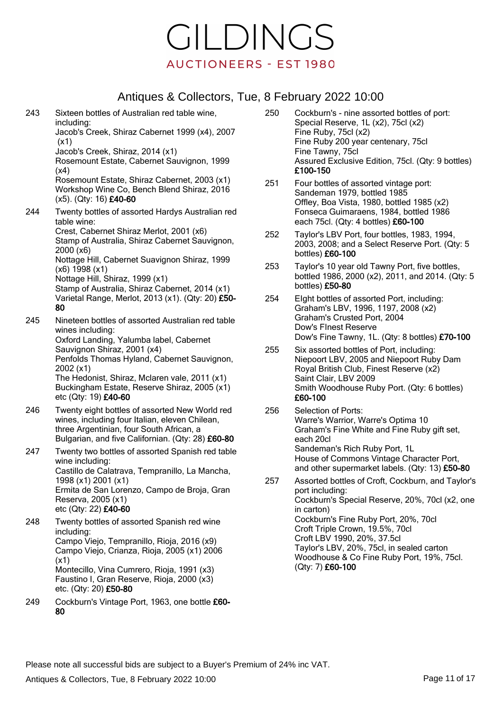#### Antiques & Collectors, Tue, 8 February 2022 10:00

| 243 | Sixteen bottles of Australian red table wine,<br>including:                                                                                                                                                                                                                         |
|-----|-------------------------------------------------------------------------------------------------------------------------------------------------------------------------------------------------------------------------------------------------------------------------------------|
|     | Jacob's Creek, Shiraz Cabernet 1999 (x4), 2007                                                                                                                                                                                                                                      |
|     | (x1)<br>Jacob's Creek, Shiraz, 2014 (x1)<br>Rosemount Estate, Cabernet Sauvignon, 1999<br>(x4)<br>Rosemount Estate, Shiraz Cabernet, 2003 (x1)<br>Workshop Wine Co, Bench Blend Shiraz, 2016<br>$(x5)$ . (Qty: 16) £40-60                                                           |
| 244 | Twenty bottles of assorted Hardys Australian red                                                                                                                                                                                                                                    |
|     | table wine:<br>Crest, Cabernet Shiraz Merlot, 2001 (x6)<br>Stamp of Australia, Shiraz Cabernet Sauvignon,<br>2000 (x6)<br>Nottage Hill, Cabernet Suavignon Shiraz, 1999<br>(x6) 1998 (x1)<br>Nottage Hill, Shiraz, 1999 (x1)                                                        |
|     | Stamp of Australia, Shiraz Cabernet, 2014 (x1)<br>Varietal Range, Merlot, 2013 (x1). (Qty: 20) £50-<br>80                                                                                                                                                                           |
| 245 | Nineteen bottles of assorted Australian red table<br>wines including:<br>Oxford Landing, Yalumba label, Cabernet<br>Sauvignon Shiraz, 2001 (x4)<br>Penfolds Thomas Hyland, Cabernet Sauvignon,<br>2002 (x1)                                                                         |
|     | The Hedonist, Shiraz, Mclaren vale, 2011 (x1)<br>Buckingham Estate, Reserve Shiraz, 2005 (x1)<br>etc (Qty: 19) £40-60                                                                                                                                                               |
| 246 | Twenty eight bottles of assorted New World red<br>wines, including four Italian, eleven Chilean,<br>three Argentinian, four South African, a<br>Bulgarian, and five Californian. (Qty: 28) £60-80                                                                                   |
| 247 | Twenty two bottles of assorted Spanish red table<br>wine including:<br>Castillo de Calatrava, Tempranillo, La Mancha,<br>1998 (x1) 2001 (x1)<br>Ermita de San Lorenzo, Campo de Broja, Gran<br>Reserva, 2005 (x1)<br>etc (Qty: 22) £40-60                                           |
| 248 | Twenty bottles of assorted Spanish red wine<br>including:<br>Campo Viejo, Tempranillo, Rioja, 2016 (x9)<br>Campo Viejo, Crianza, Rioja, 2005 (x1) 2006<br>(x1)<br>Montecillo, Vina Cumrero, Rioja, 1991 (x3)<br>Faustino I, Gran Reserve, Rioja, 2000 (x3)<br>etc. (Qty: 20) £50-80 |
| 249 | Cockburn's Vintage Port, 1963, one bottle £60-<br>80                                                                                                                                                                                                                                |
|     |                                                                                                                                                                                                                                                                                     |

250 Cockburn's - nine assorted bottles of port: Special Reserve, 1L (x2), 75cl (x2) Fine Ruby, 75cl (x2) Fine Ruby 200 year centenary, 75cl Fine Tawny, 75cl Assured Exclusive Edition, 75cl. (Qty: 9 bottles) £100-150

- 251 Four bottles of assorted vintage port: Sandeman 1979, bottled 1985 Offley, Boa Vista, 1980, bottled 1985 (x2) Fonseca Guimaraens, 1984, bottled 1986 each 75cl. (Qty: 4 bottles) £60-100
- 252 Taylor's LBV Port, four bottles, 1983, 1994, 2003, 2008; and a Select Reserve Port. (Qty: 5 bottles) £60-100
- 253 Taylor's 10 year old Tawny Port, five bottles, bottled 1986, 2000 (x2), 2011, and 2014. (Qty: 5 bottles) £50-80
- 254 EIght bottles of assorted Port, including: Graham's LBV, 1996, 1197, 2008 (x2) Graham's Crusted Port, 2004 Dow's FInest Reserve Dow's Fine Tawny, 1L. (Qty: 8 bottles) £70-100
- 255 Six assorted bottles of Port, including: Niepoort LBV, 2005 and Niepoort Ruby Dam Royal British Club, Finest Reserve (x2) Saint Clair, LBV 2009 Smith Woodhouse Ruby Port. (Qty: 6 bottles) £60-100
- 256 Selection of Ports: Warre's Warrior, Warre's Optima 10 Graham's Fine White and Fine Ruby gift set, each 20cl Sandeman's Rich Ruby Port, 1L House of Commons Vintage Character Port, and other supermarket labels. (Qty: 13) £50-80
- 257 Assorted bottles of Croft, Cockburn, and Taylor's port including: Cockburn's Special Reserve, 20%, 70cl (x2, one in carton) Cockburn's Fine Ruby Port, 20%, 70cl Croft Triple Crown, 19.5%, 70cl Croft LBV 1990, 20%, 37.5cl Taylor's LBV, 20%, 75cl, in sealed carton Woodhouse & Co Fine Ruby Port, 19%, 75cl. (Qty: 7) £60-100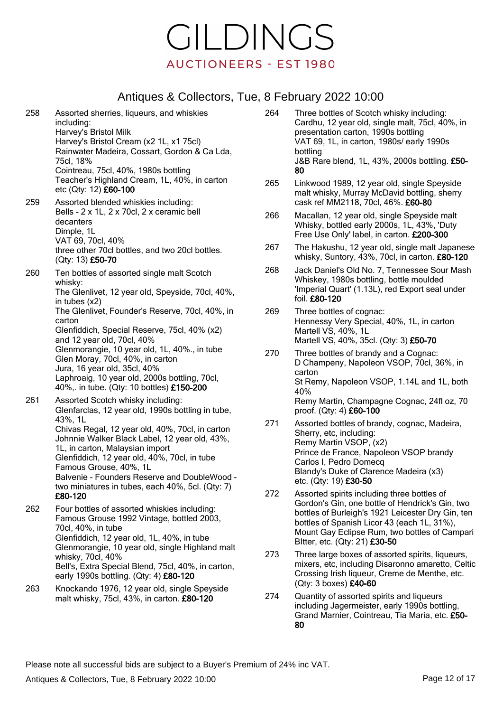#### Antiques & Collectors, Tue, 8 February 2022 10:00

| 258               | Assorted sherries, liqueurs, and whiskies<br>including:<br>Harvey's Bristol Milk<br>Harvey's Bristol Cream (x2 1L, x1 75cl)<br>Rainwater Madeira, Cossart, Gordon & Ca Lda,<br>75cl, 18%<br>Cointreau, 75cl, 40%, 1980s bottling<br>Teacher's Highland Cream, 1L, 40%, in carton<br>etc (Qty: 12) £60-100<br>259<br>Assorted blended whiskies including:<br>Bells - 2 x 1L, 2 x 70cl, 2 x ceramic bell<br>decanters<br>Dimple, 1L<br>VAT 69, 70cl, 40%<br>three other 70cl bottles, and two 20cl bottles.<br>(Qty: 13) £50-70 | 264 | Three bottles of Scotch whisky including:<br>Cardhu, 12 year old, single malt, 75cl, 40%, in<br>presentation carton, 1990s bottling<br>VAT 69, 1L, in carton, 1980s/ early 1990s<br>bottling<br>J&B Rare blend, 1L, 43%, 2000s bottling. £50-<br>80                               |
|-------------------|-------------------------------------------------------------------------------------------------------------------------------------------------------------------------------------------------------------------------------------------------------------------------------------------------------------------------------------------------------------------------------------------------------------------------------------------------------------------------------------------------------------------------------|-----|-----------------------------------------------------------------------------------------------------------------------------------------------------------------------------------------------------------------------------------------------------------------------------------|
|                   |                                                                                                                                                                                                                                                                                                                                                                                                                                                                                                                               | 265 | Linkwood 1989, 12 year old, single Speyside<br>malt whisky, Murray McDavid bottling, sherry<br>cask ref MM2118, 70cl, 46%. £60-80                                                                                                                                                 |
|                   |                                                                                                                                                                                                                                                                                                                                                                                                                                                                                                                               | 266 | Macallan, 12 year old, single Speyside malt<br>Whisky, bottled early 2000s, 1L, 43%, 'Duty<br>Free Use Only' label, in carton. £200-300                                                                                                                                           |
|                   |                                                                                                                                                                                                                                                                                                                                                                                                                                                                                                                               | 267 | The Hakushu, 12 year old, single malt Japanes<br>whisky, Suntory, 43%, 70cl, in carton. £80-120                                                                                                                                                                                   |
| 260               | Ten bottles of assorted single malt Scotch<br>whisky:<br>The Glenlivet, 12 year old, Speyside, 70cl, 40%,<br>in tubes $(x2)$<br>The Glenlivet, Founder's Reserve, 70cl, 40%, in<br>carton<br>Glenfiddich, Special Reserve, 75cl, 40% (x2)<br>and 12 year old, 70cl, 40%<br>Glenmorangie, 10 year old, 1L, 40%., in tube<br>Glen Moray, 70cl, 40%, in carton<br>Jura, 16 year old, 35cl, 40%<br>Laphroaig, 10 year old, 2000s bottling, 70cl,<br>40%,. in tube. (Qty: 10 bottles) £150-200                                     | 268 | Jack Daniel's Old No. 7, Tennessee Sour Masl<br>Whiskey, 1980s bottling, bottle moulded<br>'Imperial Quart' (1.13L), red Export seal under<br>foil. £80-120                                                                                                                       |
|                   |                                                                                                                                                                                                                                                                                                                                                                                                                                                                                                                               | 269 | Three bottles of cognac:<br>Hennessy Very Special, 40%, 1L, in carton<br>Martell VS, 40%, 1L<br>Martell VS, 40%, 35cl. (Qty: 3) £50-70                                                                                                                                            |
|                   |                                                                                                                                                                                                                                                                                                                                                                                                                                                                                                                               | 270 | Three bottles of brandy and a Cognac:<br>D Champeny, Napoleon VSOP, 70cl, 36%, in<br>carton<br>St Remy, Napoleon VSOP, 1.14L and 1L, both<br>40%                                                                                                                                  |
| 261               | Assorted Scotch whisky including:<br>Glenfarclas, 12 year old, 1990s bottling in tube,<br>43%, 1L<br>Chivas Regal, 12 year old, 40%, 70cl, in carton<br>Johnnie Walker Black Label, 12 year old, 43%,<br>1L, in carton, Malaysian import<br>Glenfiddich, 12 year old, 40%, 70cl, in tube<br>Famous Grouse, 40%, 1L<br>Balvenie - Founders Reserve and DoubleWood -<br>two miniatures in tubes, each 40%, 5cl. (Qty: 7)                                                                                                        |     | Remy Martin, Champagne Cognac, 24fl oz, 70<br>proof. (Qty: 4) £60-100                                                                                                                                                                                                             |
|                   |                                                                                                                                                                                                                                                                                                                                                                                                                                                                                                                               | 271 | Assorted bottles of brandy, cognac, Madeira,<br>Sherry, etc, including:<br>Remy Martin VSOP, (x2)<br>Prince de France, Napoleon VSOP brandy<br>Carlos I, Pedro Domecq<br>Blandy's Duke of Clarence Madeira (x3)<br>etc. (Qty: 19) £30-50                                          |
| 262               | £80-120<br>Four bottles of assorted whiskies including:<br>Famous Grouse 1992 Vintage, bottled 2003,<br>70cl, 40%, in tube<br>Glenfiddich, 12 year old, 1L, 40%, in tube<br>Glenmorangie, 10 year old, single Highland malt                                                                                                                                                                                                                                                                                                   | 272 | Assorted spirits including three bottles of<br>Gordon's Gin, one bottle of Hendrick's Gin, two<br>bottles of Burleigh's 1921 Leicester Dry Gin, te<br>bottles of Spanish Licor 43 (each 1L, 31%),<br>Mount Gay Eclipse Rum, two bottles of Campa<br>Bltter, etc. (Qty: 21) £30-50 |
| whisky, 70cl, 40% | Bell's, Extra Special Blend, 75cl, 40%, in carton,<br>early 1990s bottling. (Qty: 4) £80-120<br>Knockando 1076, 12 voor ald single Snovgide                                                                                                                                                                                                                                                                                                                                                                                   | 273 | Three large boxes of assorted spirits, liqueurs,<br>mixers, etc, including Disaronno amaretto, Cel<br>Crossing Irish liqueur, Creme de Menthe, etc.<br>(Qty: 3 boxes) £40-60                                                                                                      |
| າຂາ               |                                                                                                                                                                                                                                                                                                                                                                                                                                                                                                                               |     |                                                                                                                                                                                                                                                                                   |

263 Knockando 1976, 12 year old, single Speyside malt whisky, 75cl, 43%, in carton. £80-120

- $B$  Rare blend, 1L, 43%, 2000s bottling.  $£50$ kwood 1989, 12 year old, single Speyside It whisky, Murray McDavid bottling, sherry k ref MM2118, 70cl, 46%. £60-80 callan, 12 year old, single Speyside malt isky, bottled early 2000s, 1L, 43%, 'Duty e Use Only' label, in carton. £200-300 e Hakushu, 12 year old, single malt Japanese sky, Suntory,  $43\%$ , 70cl, in carton.  $£80-120$ k Daniel's Old No. 7, Tennessee Sour Mash iskey, 1980s bottling, bottle moulded perial Quart' (1.13L), red Export seal under £80-120 ee bottles of cognac: nnessy Very Special, 40%, 1L, in carton rtell VS, 40%,  $1$ L $\,$ rtell VS, 40%, 35cl. (Qty: 3) £50-70 ee bottles of brandy and a Cognac: hampeny, Napoleon VSOP, 70cl, 36%, in ton Remy, Napoleon VSOP, 1.14L and 1L, both  $\%$ my Martin, Champagne Cognac, 24fl oz, 70 of. (Qty: 4) £60-100 orted bottles of brandy, cognac, Madeira, erry, etc, including: my Martin VSOP, (x2) nce de France, Napoleon VSOP brandy rlos I, Pedro Domecq ndy's Duke of Clarence Madeira (x3)  $(Qty: 19)$  £30-50 orted spirits including three bottles of don's Gin, one bottle of Hendrick's Gin, two
- tles of Burleigh's 1921 Leicester Dry Gin, ten tles of Spanish Licor 43 (each 1L, 31%), unt Gay Eclipse Rum, two bottles of Campari er, etc. (Qty: 21) £30-50
- ee large boxes of assorted spirits, liqueurs, ers, etc, including Disaronno amaretto, Celtic ossing Irish liqueur, Creme de Menthe, etc. y: 3 boxes) **£40-60**
- 274 Quantity of assorted spirits and liqueurs including Jagermeister, early 1990s bottling, Grand Marnier, Cointreau, Tia Maria, etc. £50- 80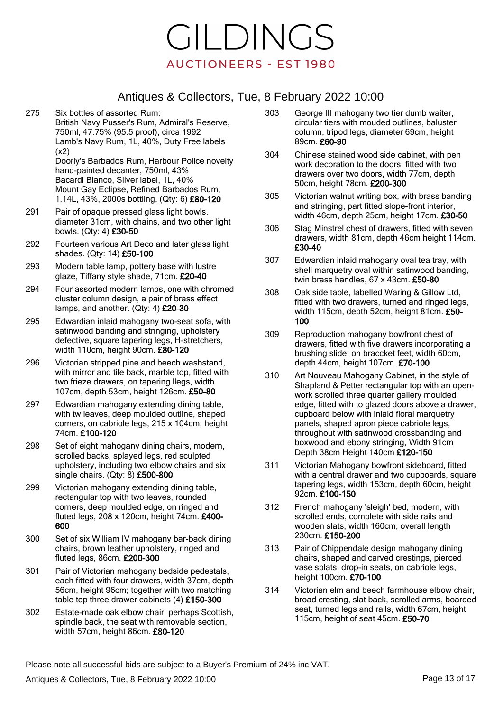# Antiques & Collectors, Tue, 8 February 2022 10:00

- 275 Six bottles of assorted Rum: British Navy Pusser's Rum, Admiral's Reserve, 750ml, 47.75% (95.5 proof), circa 1992 Lamb's Navy Rum, 1L, 40%, Duty Free labels (x2) Doorly's Barbados Rum, Harbour Police novelty hand-painted decanter, 750ml, 43% Bacardi Blanco, Silver label, 1L, 40% Mount Gay Eclipse, Refined Barbados Rum, 1.14L, 43%, 2000s bottling. (Qty: 6) £80-120
- 291 Pair of opaque pressed glass light bowls, diameter 31cm, with chains, and two other light bowls. (Qty: 4) £30-50
- 292 Fourteen various Art Deco and later glass light shades. (Qty: 14) £50-100
- 293 Modern table lamp, pottery base with lustre glaze, Tiffany style shade, 71cm. £20-40
- 294 Four assorted modern lamps, one with chromed cluster column design, a pair of brass effect lamps, and another. (Qty: 4) £20-30
- 295 Edwardian inlaid mahogany two-seat sofa, with satinwood banding and stringing, upholstery defective, square tapering legs, H-stretchers, width 110cm, height 90cm. £80-120
- 296 Victorian stripped pine and beech washstand, with mirror and tile back, marble top, fitted with two frieze drawers, on tapering llegs, width 107cm, depth 53cm, height 126cm. £50-80
- 297 Edwardian mahogany extending dining table, with tw leaves, deep moulded outline, shaped corners, on cabriole legs, 215 x 104cm, height 74cm. £100-120
- 298 Set of eight mahogany dining chairs, modern, scrolled backs, splayed legs, red sculpted upholstery, including two elbow chairs and six single chairs. (Qty: 8) £500-800
- 299 Victorian mahogany extending dining table, rectangular top with two leaves, rounded corners, deep moulded edge, on ringed and fluted legs, 208 x 120cm, height 74cm. £400- 600
- 300 Set of six William IV mahogany bar-back dining chairs, brown leather upholstery, ringed and fluted legs, 86cm. £200-300
- 301 Pair of Victorian mahogany bedside pedestals, each fitted with four drawers, width 37cm, depth 56cm, height 96cm; together with two matching table top three drawer cabinets (4) £150-300
- 302 Estate-made oak elbow chair, perhaps Scottish, spindle back, the seat with removable section, width 57cm, height 86cm. £80-120
- 303 George III mahogany two tier dumb waiter, circular tiers with mouded outlines, baluster column, tripod legs, diameter 69cm, height 89cm. £60-90
- 304 Chinese stained wood side cabinet, with pen work decoration to the doors, fitted with two drawers over two doors, width 77cm, depth 50cm, height 78cm. £200-300
- 305 Victorian walnut writing box, with brass banding and stringing, part fitted slope-front interior, width 46cm, depth 25cm, height 17cm. £30-50
- 306 Stag Minstrel chest of drawers, fitted with seven drawers, width 81cm, depth 46cm height 114cm. £30-40
- 307 Edwardian inlaid mahogany oval tea tray, with shell marquetry oval within satinwood banding, twin brass handles, 67 x 43cm. £50-80
- 308 Oak side table, labelled Waring & Gillow Ltd, fitted with two drawers, turned and ringed legs, width 115cm, depth 52cm, height 81cm. £50- 100
- 309 Reproduction mahogany bowfront chest of drawers, fitted with five drawers incorporating a brushing slide, on braccket feet, width 60cm, depth 44cm, height 107cm. £70-100
- 310 Art Nouveau Mahogany Cabinet, in the style of Shapland & Petter rectangular top with an openwork scrolled three quarter gallery moulded edge, fitted with to glazed doors above a drawer, cupboard below with inlaid floral marquetry panels, shaped apron piece cabriole legs, throughout with satinwood crossbanding and boxwood and ebony stringing, Width 91cm Depth 38cm Height 140cm £120-150
- 311 Victorian Mahogany bowfront sideboard, fitted with a central drawer and two cupboards, square tapering legs, width 153cm, depth 60cm, height 92cm. £100-150
- 312 French mahogany 'sleigh' bed, modern, with scrolled ends, complete with side rails and wooden slats, width 160cm, overall length 230cm. £150-200
- 313 Pair of Chippendale design mahogany dining chairs, shaped and carved crestings, pierced vase splats, drop-in seats, on cabriole legs, height 100cm. £70-100
- 314 Victorian elm and beech farmhouse elbow chair, broad cresting, slat back, scrolled arms, boarded seat, turned legs and rails, width 67cm, height 115cm, height of seat 45cm. £50-70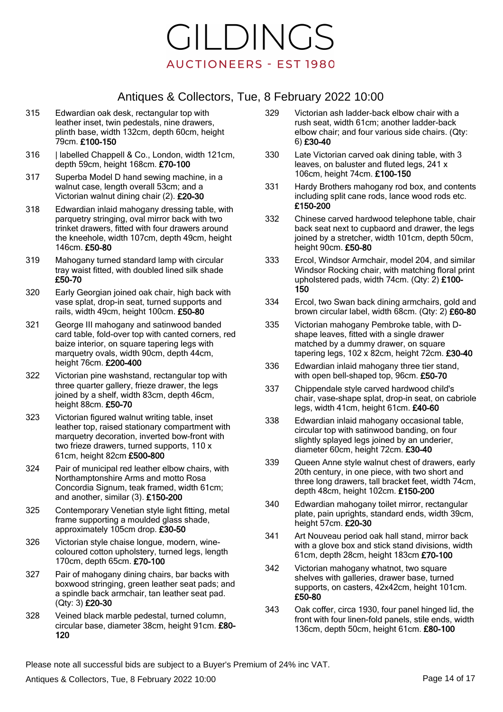# Antiques & Collectors, Tue, 8 February 2022 10:00

- 315 Edwardian oak desk, rectangular top with leather inset, twin pedestals, nine drawers, plinth base, width 132cm, depth 60cm, height 79cm. £100-150
- 316 | labelled Chappell & Co., London, width 121cm, depth 59cm, height 168cm. £70-100
- 317 Superba Model D hand sewing machine, in a walnut case, length overall 53cm; and a Victorian walnut dining chair (2). £20-30
- 318 Edwardian inlaid mahogany dressing table, with parquetry stringing, oval mirror back with two trinket drawers, fitted with four drawers around the kneehole, width 107cm, depth 49cm, height 146cm. £50-80
- 319 Mahogany turned standard lamp with circular tray waist fitted, with doubled lined silk shade £50-70
- 320 Early Georgian joined oak chair, high back with vase splat, drop-in seat, turned supports and rails, width 49cm, height 100cm. £50-80
- 321 George III mahogany and satinwood banded card table, fold-over top with canted corners, red baize interior, on square tapering legs with marquetry ovals, width 90cm, depth 44cm, height 76cm. £200-400
- 322 Victorian pine washstand, rectangular top with three quarter gallery, frieze drawer, the legs joined by a shelf, width 83cm, depth 46cm, height 88cm. £50-70
- 323 Victorian figured walnut writing table, inset leather top, raised stationary compartment with marquetry decoration, inverted bow-front with two frieze drawers, turned supports, 110 x 61cm, height 82cm £500-800
- 324 Pair of municipal red leather elbow chairs, with Northamptonshire Arms and motto Rosa Concordia Signum, teak framed, width 61cm; and another, similar (3). £150-200
- 325 Contemporary Venetian style light fitting, metal frame supporting a moulded glass shade, approximately 105cm drop. £30-50
- 326 Victorian style chaise longue, modern, winecoloured cotton upholstery, turned legs, length 170cm, depth 65cm. £70-100
- 327 Pair of mahogany dining chairs, bar backs with boxwood stringing, green leather seat pads; and a spindle back armchair, tan leather seat pad. (Qty: 3) £20-30
- 328 Veined black marble pedestal, turned column, circular base, diameter 38cm, height 91cm. £80- 120
- 329 Victorian ash ladder-back elbow chair with a rush seat, width 61cm; another ladder-back elbow chair; and four various side chairs. (Qty: 6) £30-40
- 330 Late Victorian carved oak dining table, with 3 leaves, on baluster and fluted legs, 241 x 106cm, height 74cm. £100-150
- 331 Hardy Brothers mahogany rod box, and contents including split cane rods, lance wood rods etc. £150-200
- 332 Chinese carved hardwood telephone table, chair back seat next to cupbaord and drawer, the legs joined by a stretcher, width 101cm, depth 50cm, height 90cm. £50-80
- 333 Ercol, Windsor Armchair, model 204, and similar Windsor Rocking chair, with matching floral print upholstered pads, width 74cm. (Qty: 2) £100- 150
- 334 Ercol, two Swan back dining armchairs, gold and brown circular label, width 68cm. (Qty: 2) £60-80
- 335 Victorian mahogany Pembroke table, with Dshape leaves, fitted with a single drawer matched by a dummy drawer, on square tapering legs, 102 x 82cm, height 72cm. £30-40
- 336 Edwardian inlaid mahogany three tier stand, with open bell-shaped top. 96cm. £50-70
- 337 Chippendale style carved hardwood child's chair, vase-shape splat, drop-in seat, on cabriole legs, width 41cm, height 61cm. £40-60
- 338 Edwardian inlaid mahogany occasional table, circular top with satinwood banding, on four slightly splayed legs joined by an underier, diameter 60cm, height 72cm. £30-40
- 339 Queen Anne style walnut chest of drawers, early 20th century, in one piece, with two short and three long drawers, tall bracket feet, width 74cm, depth 48cm, height 102cm. £150-200
- 340 Edwardian mahogany toilet mirror, rectangular plate, pain uprights, standard ends, width 39cm, height 57cm. £20-30
- 341 Art Nouveau period oak hall stand, mirror back with a glove box and stick stand divisions, width 61cm, depth 28cm, height 183cm £70-100
- 342 Victorian mahogany whatnot, two square shelves with galleries, drawer base, turned supports, on casters, 42x42cm, height 101cm. £50-80
- 343 Oak coffer, circa 1930, four panel hinged lid, the front with four linen-fold panels, stile ends, width 136cm, depth 50cm, height 61cm. £80-100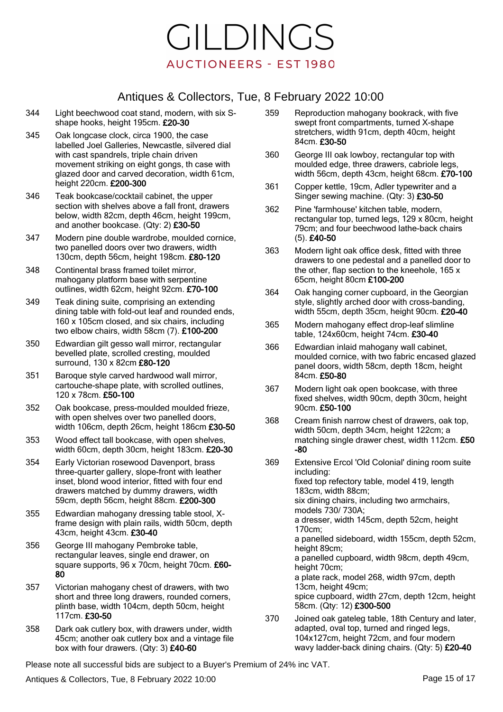#### Antiques & Collectors, Tue, 8 February 2022 10:00

- 344 Light beechwood coat stand, modern, with six Sshape hooks, height 195cm. £20-30
- 345 Oak longcase clock, circa 1900, the case labelled Joel Galleries, Newcastle, silvered dial with cast spandrels, triple chain driven movement striking on eight gongs, th case with glazed door and carved decoration, width 61cm, height 220cm. £200-300
- 346 Teak bookcase/cocktail cabinet, the upper section with shelves above a fall front, drawers below, width 82cm, depth 46cm, height 199cm, and another bookcase. (Qty: 2) £30-50
- 347 Modern pine double wardrobe, moulded cornice, two panelled doors over two drawers, width 130cm, depth 56cm, height 198cm. £80-120
- 348 Continental brass framed toilet mirror, mahogany platform base with serpentine outlines, width 62cm, height 92cm. £70-100
- 349 Teak dining suite, comprising an extending dining table with fold-out leaf and rounded ends, 160 x 105cm closed, and six chairs, including two elbow chairs, width 58cm (7). £100-200
- 350 Edwardian gilt gesso wall mirror, rectangular bevelled plate, scrolled cresting, moulded surround, 130 x 82cm £80-120
- 351 Baroque style carved hardwood wall mirror, cartouche-shape plate, with scrolled outlines, 120 x 78cm. £50-100
- 352 Oak bookcase, press-moulded moulded frieze, with open shelves over two panelled doors, width 106cm, depth 26cm, height 186cm £30-50
- 353 Wood effect tall bookcase, with open shelves, width 60cm, depth 30cm, height 183cm. £20-30
- 354 Early Victorian rosewood Davenport, brass three-quarter gallery, slope-front with leather inset, blond wood interior, fitted with four end drawers matched by dummy drawers, width 59cm, depth 56cm, height 88cm. £200-300
- 355 Edwardian mahogany dressing table stool, Xframe design with plain rails, width 50cm, depth 43cm, height 43cm. £30-40
- 356 George III mahogany Pembroke table, rectangular leaves, single end drawer, on square supports, 96 x 70cm, height 70cm, £60-80
- 357 Victorian mahogany chest of drawers, with two short and three long drawers, rounded corners, plinth base, width 104cm, depth 50cm, height 117cm. £30-50
- 358 Dark oak cutlery box, with drawers under, width 45cm; another oak cutlery box and a vintage file box with four drawers. (Qty: 3) £40-60
- 359 Reproduction mahogany bookrack, with five swept front compartments, turned X-shape stretchers, width 91cm, depth 40cm, height 84cm. £30-50
- 360 George III oak lowboy, rectangular top with moulded edge, three drawers, cabriole legs, width 56cm, depth 43cm, height 68cm. £70-100
- 361 Copper kettle, 19cm, Adler typewriter and a Singer sewing machine. (Qty: 3) £30-50
- 362 Pine 'farmhouse' kitchen table, modern, rectangular top, turned legs, 129 x 80cm, height 79cm; and four beechwood lathe-back chairs (5). £40-50
- 363 Modern light oak office desk, fitted with three drawers to one pedestal and a panelled door to the other, flap section to the kneehole, 165 x 65cm, height 80cm £100-200
- 364 Oak hanging corner cupboard, in the Georgian style, slightly arched door with cross-banding, width 55cm, depth 35cm, height 90cm. £20-40
- 365 Modern mahogany effect drop-leaf slimline table, 124x60cm, height 74cm. £30-40
- 366 Edwardian inlaid mahogany wall cabinet, moulded cornice, with two fabric encased glazed panel doors, width 58cm, depth 18cm, height 84cm. £50-80
- 367 Modern light oak open bookcase, with three fixed shelves, width 90cm, depth 30cm, height 90cm. £50-100
- 368 Cream finish narrow chest of drawers, oak top, width 50cm, depth 34cm, height 122cm; a matching single drawer chest, width 112cm. £50 -80
- 369 Extensive Ercol 'Old Colonial' dining room suite including: fixed top refectory table, model 419, length 183cm, width 88cm; six dining chairs, including two armchairs, models 730/ 730A; a dresser, width 145cm, depth 52cm, height 170cm; a panelled sideboard, width 155cm, depth 52cm, height 89cm; a panelled cupboard, width 98cm, depth 49cm, height 70cm; a plate rack, model 268, width 97cm, depth 13cm, height 49cm; spice cupboard, width 27cm, depth 12cm, height 58cm. (Qty: 12) £300-500
- 370 Joined oak gateleg table, 18th Century and later, adapted, oval top, turned and ringed legs, 104x127cm, height 72cm, and four modern wavy ladder-back dining chairs. (Qty: 5) £20-40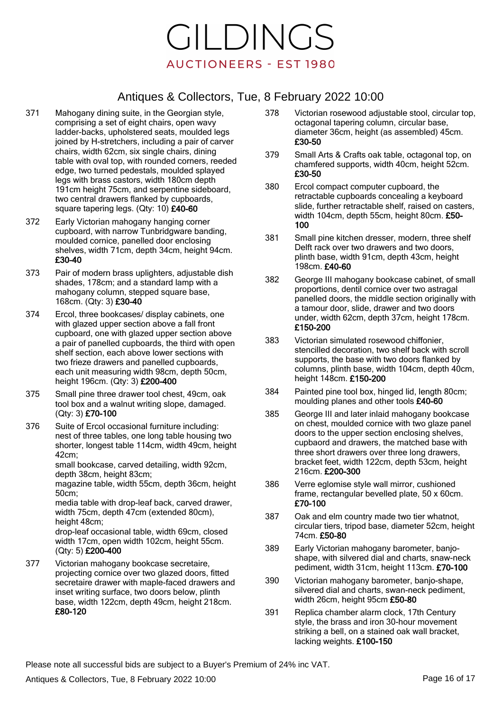

### Antiques & Collectors, Tue, 8 February 2022 10:00

- 371 Mahogany dining suite, in the Georgian style, comprising a set of eight chairs, open wavy ladder-backs, upholstered seats, moulded legs joined by H-stretchers, including a pair of carver chairs, width 62cm, six single chairs, dining table with oval top, with rounded corners, reeded edge, two turned pedestals, moulded splayed legs with brass castors, width 180cm depth 191cm height 75cm, and serpentine sideboard, two central drawers flanked by cupboards, square tapering legs. (Qty: 10) £40-60
- 372 Early Victorian mahogany hanging corner cupboard, with narrow Tunbridgware banding, moulded cornice, panelled door enclosing shelves, width 71cm, depth 34cm, height 94cm. £30-40
- 373 Pair of modern brass uplighters, adjustable dish shades, 178cm; and a standard lamp with a mahogany column, stepped square base, 168cm. (Qty: 3) £30-40
- 374 Ercol, three bookcases/ display cabinets, one with glazed upper section above a fall front cupboard, one with glazed upper section above a pair of panelled cupboards, the third with open shelf section, each above lower sections with two frieze drawers and panelled cupboards, each unit measuring width 98cm, depth 50cm, height 196cm. (Qty: 3) £200-400
- 375 Small pine three drawer tool chest, 49cm, oak tool box and a walnut writing slope, damaged. (Qty: 3) £70-100
- 376 Suite of Ercol occasional furniture including: nest of three tables, one long table housing two shorter, longest table 114cm, width 49cm, height 42cm;

small bookcase, carved detailing, width 92cm, depth 38cm, height 83cm;

magazine table, width 55cm, depth 36cm, height 50cm;

media table with drop-leaf back, carved drawer, width 75cm, depth 47cm (extended 80cm), height 48cm;

drop-leaf occasional table, width 69cm, closed width 17cm, open width 102cm, height 55cm. (Qty: 5) £200-400

377 Victorian mahogany bookcase secretaire, projecting cornice over two glazed doors, fitted secretaire drawer with maple-faced drawers and inset writing surface, two doors below, plinth base, width 122cm, depth 49cm, height 218cm. £80-120

- 378 Victorian rosewood adjustable stool, circular top, octagonal tapering column, circular base, diameter 36cm, height (as assembled) 45cm. £30-50
- 379 Small Arts & Crafts oak table, octagonal top, on chamfered supports, width 40cm, height 52cm. £30-50
- 380 Ercol compact computer cupboard, the retractable cupboards concealing a keyboard slide, further retractable shelf, raised on casters, width 104cm, depth 55cm, height 80cm. £50- 100
- 381 Small pine kitchen dresser, modern, three shelf Delft rack over two drawers and two doors. plinth base, width 91cm, depth 43cm, height 198cm. £40-60
- 382 George III mahogany bookcase cabinet, of small proportions, dentil cornice over two astragal panelled doors, the middle section originally with a tamour door, slide, drawer and two doors under, width 62cm, depth 37cm, height 178cm. £150-200
- 383 Victorian simulated rosewood chiffonier, stencilled decoration, two shelf back with scroll supports, the base with two doors flanked by columns, plinth base, width 104cm, depth 40cm, height 148cm. £150-200
- 384 Painted pine tool box, hinged lid, length 80cm; moulding planes and other tools £40-60
- 385 George III and later inlaid mahogany bookcase on chest, moulded cornice with two glaze panel doors to the upper section enclosing shelves, cupbaord and drawers, the matched base with three short drawers over three long drawers, bracket feet, width 122cm, depth 53cm, height 216cm. £200-300
- 386 Verre eglomise style wall mirror, cushioned frame, rectangular bevelled plate, 50 x 60cm. £70-100
- 387 Oak and elm country made two tier whatnot, circular tiers, tripod base, diameter 52cm, height 74cm. £50-80
- 389 Early Victorian mahogany barometer, banjoshape, with silvered dial and charts, snaw-neck pediment, width 31cm, height 113cm. £70-100
- 390 Victorian mahogany barometer, banjo-shape, silvered dial and charts, swan-neck pediment, width 26cm, height 95cm £50-80
- 391 Replica chamber alarm clock, 17th Century style, the brass and iron 30-hour movement striking a bell, on a stained oak wall bracket, lacking weights. £100-150